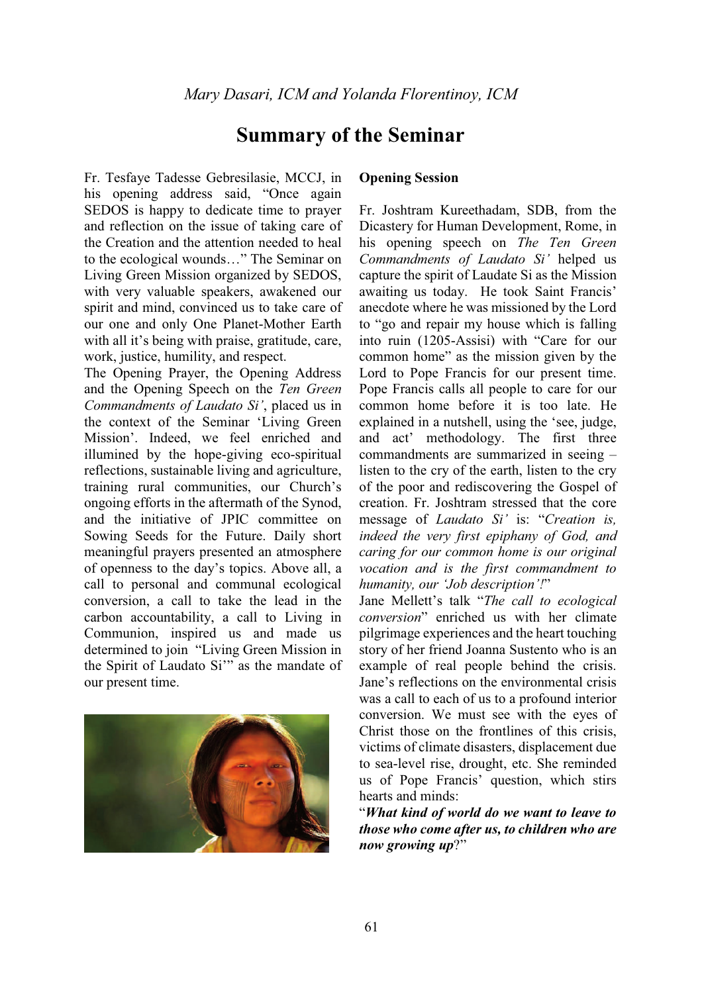# **Summary of the Seminar**

Fr. Tesfaye Tadesse Gebresilasie, MCCJ, in his opening address said, "Once again SEDOS is happy to dedicate time to prayer and reflection on the issue of taking care of the Creation and the attention needed to heal to the ecological wounds..." The Seminar on Living Green Mission organized by SEDOS, with very valuable speakers, awakened our spirit and mind, convinced us to take care of our one and only One Planet-Mother Earth with all it's being with praise, gratitude, care, work, justice, humility, and respect.

The Opening Prayer, the Opening Address and the Opening Speech on the *Ten Green Commandments of Laudato Si'*, placed us in the context of the Seminar 'Living Green Mission'. Indeed, we feel enriched and illumined by the hope-giving eco-spiritual reflections, sustainable living and agriculture, training rural communities, our Church's ongoing efforts in the aftermath of the Synod, and the initiative of JPIC committee on Sowing Seeds for the Future. Daily short meaningful prayers presented an atmosphere of openness to the day's topics. Above all, a call to personal and communal ecological conversion, a call to take the lead in the carbon accountability, a call to Living in Communion, inspired us and made us determined to join "Living Green Mission in the Spirit of Laudato Si'" as the mandate of our present time.



## **Opening Session**

Fr. Joshtram Kureethadam, SDB, from the Dicastery for Human Development, Rome, in his opening speech on *The Ten Green Commandments of Laudato Si¶* helped us capture the spirit of Laudate Si as the Mission awaiting us today. He took Saint Francis' anecdote where he was missioned by the Lord to "go and repair my house which is falling" into ruin (1205-Assisi) with "Care for our common home" as the mission given by the Lord to Pope Francis for our present time. Pope Francis calls all people to care for our common home before it is too late. He explained in a nutshell, using the 'see, judge, and act' methodology. The first three commandments are summarized in seeing  $$ listen to the cry of the earth, listen to the cry of the poor and rediscovering the Gospel of creation. Fr. Joshtram stressed that the core message of *Laudato Si*<sup> $'$ </sup> is: "*Creation is, indeed the very first epiphany of God, and caring for our common home is our original vocation and is the first commandment to humanity, our 'Job description'!*"

Jane Mellett's talk "The call to ecological *conversion*´ enriched us with her climate pilgrimage experiences and the heart touching story of her friend Joanna Sustento who is an example of real people behind the crisis. Jane's reflections on the environmental crisis was a call to each of us to a profound interior conversion. We must see with the eyes of Christ those on the frontlines of this crisis, victims of climate disasters, displacement due to sea-level rise, drought, etc. She reminded us of Pope Francis' question, which stirs hearts and minds:

³*What kind of world do we want to leave to those who come after us, to children who are now growing up*?"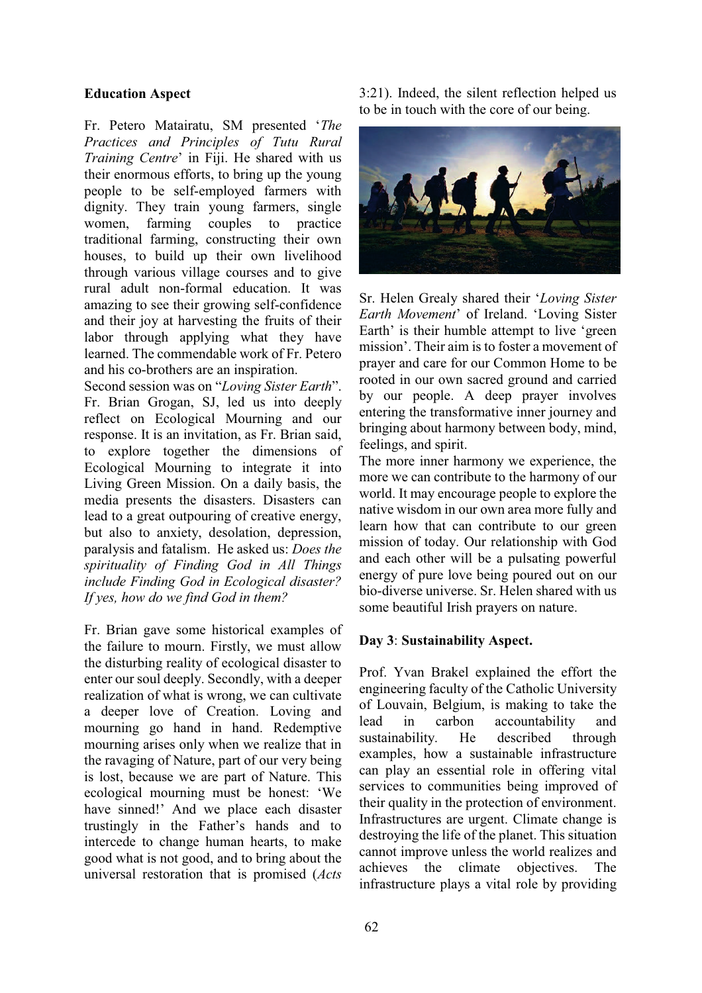#### **Education Aspect**

Fr. Petero Matairatu, SM presented 'The *Practices and Principles of Tutu Rural Training Centre'* in Fiji. He shared with us their enormous efforts, to bring up the young people to be self-employed farmers with dignity. They train young farmers, single women, farming couples to practice traditional farming, constructing their own houses, to build up their own livelihood through various village courses and to give rural adult non-formal education. It was amazing to see their growing self-confidence and their joy at harvesting the fruits of their labor through applying what they have learned. The commendable work of Fr. Petero and his co-brothers are an inspiration.

Second session was on "Loving Sister Earth". Fr. Brian Grogan, SJ, led us into deeply reflect on Ecological Mourning and our response. It is an invitation, as Fr. Brian said, to explore together the dimensions of Ecological Mourning to integrate it into Living Green Mission. On a daily basis, the media presents the disasters. Disasters can lead to a great outpouring of creative energy, but also to anxiety, desolation, depression, paralysis and fatalism. He asked us: *Does the spirituality of Finding God in All Things include Finding God in Ecological disaster? If yes, how do we find God in them?* 

Fr. Brian gave some historical examples of the failure to mourn. Firstly, we must allow the disturbing reality of ecological disaster to enter our soul deeply. Secondly, with a deeper realization of what is wrong, we can cultivate a deeper love of Creation. Loving and mourning go hand in hand. Redemptive mourning arises only when we realize that in the ravaging of Nature, part of our very being is lost, because we are part of Nature. This ecological mourning must be honest: 'We have sinned!' And we place each disaster trustingly in the Father's hands and to intercede to change human hearts, to make good what is not good, and to bring about the universal restoration that is promised (*Acts* 3:21). Indeed, the silent reflection helped us to be in touch with the core of our being.



Sr. Helen Grealy shared their 'Loving Sister *Earth Movement*' of Ireland. 'Loving Sister Earth' is their humble attempt to live 'green mission'. Their aim is to foster a movement of prayer and care for our Common Home to be rooted in our own sacred ground and carried by our people. A deep prayer involves entering the transformative inner journey and bringing about harmony between body, mind, feelings, and spirit.

The more inner harmony we experience, the more we can contribute to the harmony of our world. It may encourage people to explore the native wisdom in our own area more fully and learn how that can contribute to our green mission of today. Our relationship with God and each other will be a pulsating powerful energy of pure love being poured out on our bio-diverse universe. Sr. Helen shared with us some beautiful Irish prayers on nature.

#### **Day 3**: **Sustainability Aspect.**

Prof. Yvan Brakel explained the effort the engineering faculty of the Catholic University of Louvain, Belgium, is making to take the lead in carbon accountability and sustainability. He described through examples, how a sustainable infrastructure can play an essential role in offering vital services to communities being improved of their quality in the protection of environment. Infrastructures are urgent. Climate change is destroying the life of the planet. This situation cannot improve unless the world realizes and achieves the climate objectives. The infrastructure plays a vital role by providing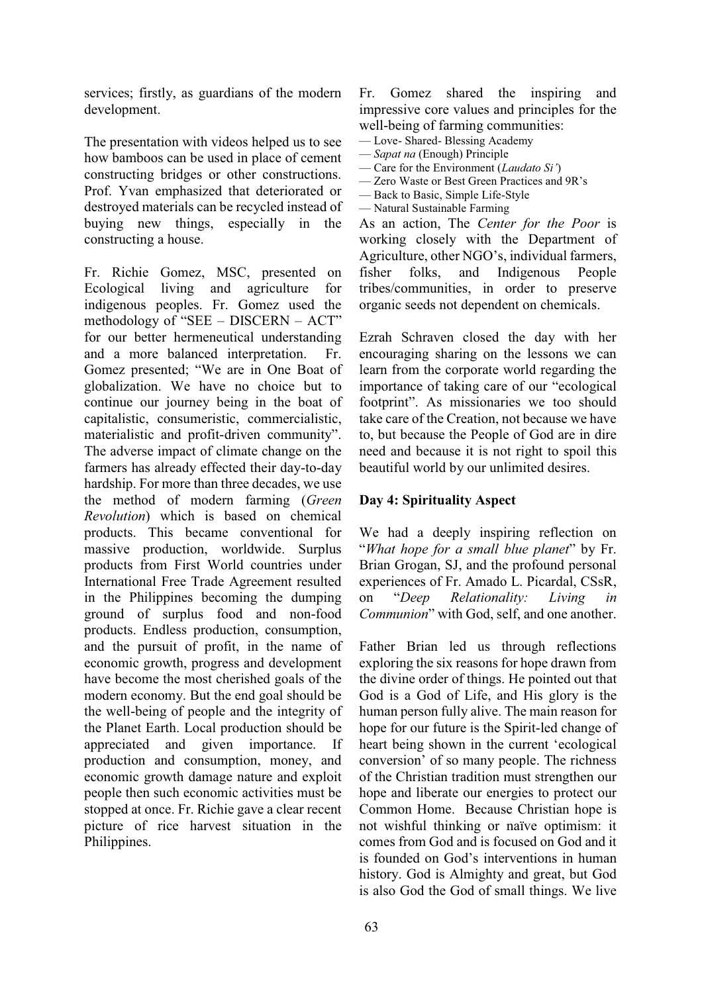services; firstly, as guardians of the modern development.

The presentation with videos helped us to see how bamboos can be used in place of cement constructing bridges or other constructions. Prof. Yvan emphasized that deteriorated or destroyed materials can be recycled instead of buying new things, especially in the constructing a house.

Fr. Richie Gomez, MSC, presented on Ecological living and agriculture for indigenous peoples. Fr. Gomez used the methodology of "SEE  $-$  DISCERN  $-$  ACT" for our better hermeneutical understanding and a more balanced interpretation. Fr. Gomez presented; "We are in One Boat of globalization. We have no choice but to continue our journey being in the boat of capitalistic, consumeristic, commercialistic, materialistic and profit-driven community". The adverse impact of climate change on the farmers has already effected their day-to-day hardship. For more than three decades, we use the method of modern farming (*Green Revolution*) which is based on chemical products. This became conventional for massive production, worldwide. Surplus products from First World countries under International Free Trade Agreement resulted in the Philippines becoming the dumping ground of surplus food and non-food products. Endless production, consumption, and the pursuit of profit, in the name of economic growth, progress and development have become the most cherished goals of the modern economy. But the end goal should be the well-being of people and the integrity of the Planet Earth. Local production should be appreciated and given importance. If production and consumption, money, and economic growth damage nature and exploit people then such economic activities must be stopped at once. Fr. Richie gave a clear recent picture of rice harvest situation in the Philippines.

Fr. Gomez shared the inspiring and impressive core values and principles for the well-being of farming communities:

- Love- Shared- Blessing Academy
- ² *Sapat na* (Enough) Principle
- Care for the Environment (*Laudato Si*<sup> $'$ </sup>) - Zero Waste or Best Green Practices and 9R's
- Back to Basic, Simple Life-Style
- Natural Sustainable Farming

As an action, The *Center for the Poor* is working closely with the Department of Agriculture, other NGO's, individual farmers, fisher folks, and Indigenous People tribes/communities, in order to preserve organic seeds not dependent on chemicals.

Ezrah Schraven closed the day with her encouraging sharing on the lessons we can learn from the corporate world regarding the importance of taking care of our "ecological" footprint". As missionaries we too should take care of the Creation, not because we have to, but because the People of God are in dire need and because it is not right to spoil this beautiful world by our unlimited desires.

## **Day 4: Spirituality Aspect**

We had a deeply inspiring reflection on *"What hope for a small blue planet*" by Fr. Brian Grogan, SJ, and the profound personal experiences of Fr. Amado L. Picardal, CSsR, on ³*Deep Relationality: Living in Communion*" with God, self, and one another.

Father Brian led us through reflections exploring the six reasons for hope drawn from the divine order of things. He pointed out that God is a God of Life, and His glory is the human person fully alive. The main reason for hope for our future is the Spirit-led change of heart being shown in the current 'ecological conversion' of so many people. The richness of the Christian tradition must strengthen our hope and liberate our energies to protect our Common Home. Because Christian hope is not wishful thinking or naïve optimism: it comes from God and is focused on God and it is founded on God's interventions in human history. God is Almighty and great, but God is also God the God of small things. We live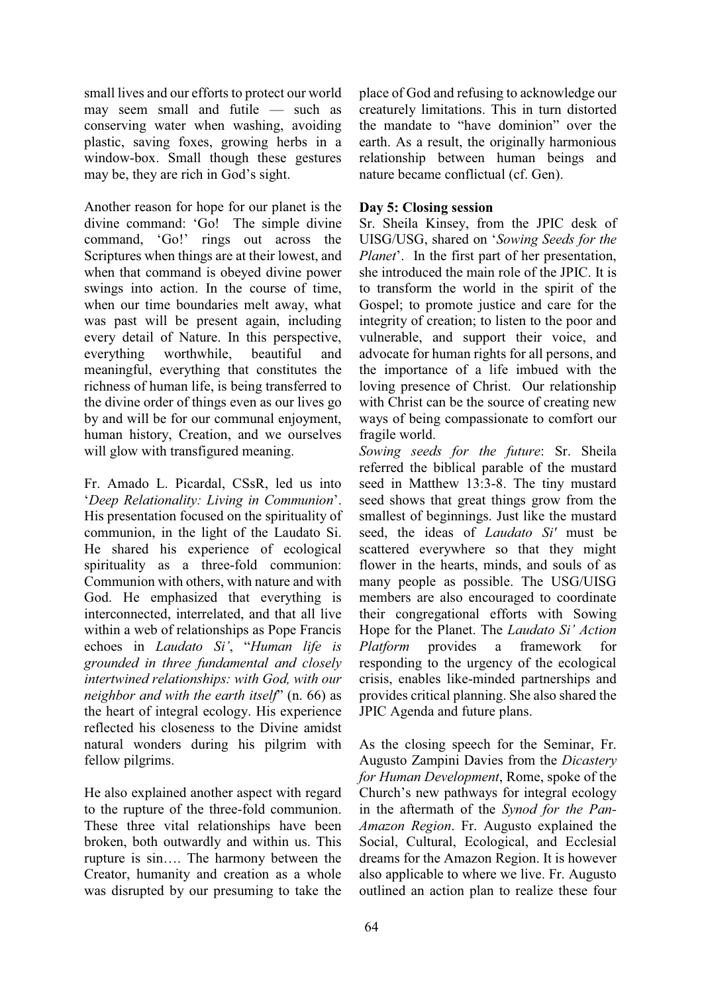small lives and our efforts to protect our world may seem small and futile  $-$  such as conserving water when washing, avoiding plastic, saving foxes, growing herbs in a window-box. Small though these gestures may be, they are rich in God's sight.

Another reason for hope for our planet is the divine command: 'Go! The simple divine command, 'Go!' rings out across the Scriptures when things are at their lowest, and when that command is obeyed divine power swings into action. In the course of time, when our time boundaries melt away, what was past will be present again, including every detail of Nature. In this perspective, everything worthwhile, beautiful and meaningful, everything that constitutes the richness of human life, is being transferred to the divine order of things even as our lives go by and will be for our communal enjoyment, human history, Creation, and we ourselves will glow with transfigured meaning.

Fr. Amado L. Picardal, CSsR, led us into *'Deep Relationality: Living in Communion'.* His presentation focused on the spirituality of communion, in the light of the Laudato Si. He shared his experience of ecological spirituality as a three-fold communion: Communion with others, with nature and with God. He emphasized that everything is interconnected, interrelated, and that all live within a web of relationships as Pope Francis echoes in *Laudato Si'*, "Human life is *grounded in three fundamental and closely intertwined relationships: with God, with our neighbor and with the earth itself*' (n. 66) as the heart of integral ecology. His experience reflected his closeness to the Divine amidst natural wonders during his pilgrim with fellow pilgrims.

He also explained another aspect with regard to the rupture of the three-fold communion. These three vital relationships have been broken, both outwardly and within us. This rupture is sin.... The harmony between the Creator, humanity and creation as a whole was disrupted by our presuming to take the

place of God and refusing to acknowledge our creaturely limitations. This in turn distorted the mandate to "have dominion" over the earth. As a result, the originally harmonious relationship between human beings and nature became conflictual (cf. Gen).

# **Day 5: Closing session**

Sr. Sheila Kinsey, from the JPIC desk of UISG/USG, shared on 'Sowing Seeds for the *Planet*'. In the first part of her presentation, she introduced the main role of the JPIC. It is to transform the world in the spirit of the Gospel; to promote justice and care for the integrity of creation; to listen to the poor and vulnerable, and support their voice, and advocate for human rights for all persons, and the importance of a life imbued with the loving presence of Christ. Our relationship with Christ can be the source of creating new ways of being compassionate to comfort our fragile world.

*Sowing seeds for the future*: Sr. Sheila referred the biblical parable of the mustard seed in Matthew 13:3-8. The tiny mustard seed shows that great things grow from the smallest of beginnings. Just like the mustard seed, the ideas of *Laudato Si'* must be scattered everywhere so that they might flower in the hearts, minds, and souls of as many people as possible. The USG/UISG members are also encouraged to coordinate their congregational efforts with Sowing Hope for the Planet. The *Laudato Si' Action*<br>*Platform* provides a framework for *Platform* provides a framework for responding to the urgency of the ecological crisis, enables like-minded partnerships and provides critical planning. She also shared the JPIC Agenda and future plans.

As the closing speech for the Seminar, Fr. Augusto Zampini Davies from the *Dicastery for Human Development*, Rome, spoke of the Church's new pathways for integral ecology in the aftermath of the *Synod for the Pan-Amazon Region*. Fr. Augusto explained the Social, Cultural, Ecological, and Ecclesial dreams for the Amazon Region. It is however also applicable to where we live. Fr. Augusto outlined an action plan to realize these four